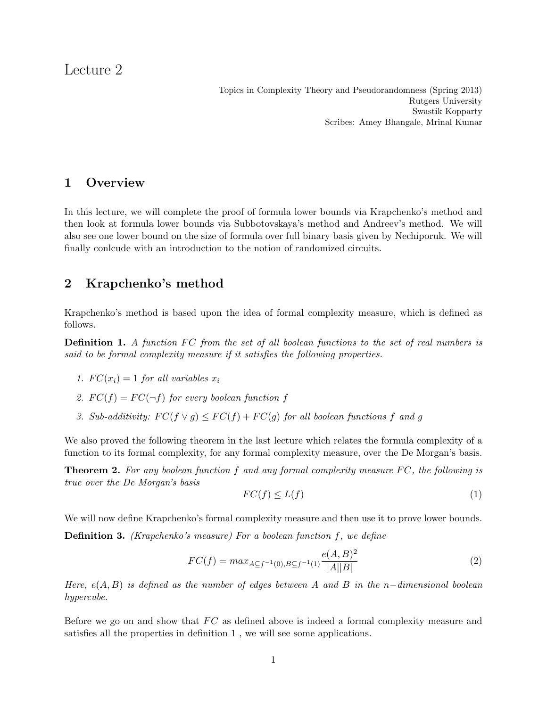# Lecture 2

Topics in Complexity Theory and Pseudorandomness (Spring 2013) Rutgers University Swastik Kopparty Scribes: Amey Bhangale, Mrinal Kumar

### 1 Overview

In this lecture, we will complete the proof of formula lower bounds via Krapchenko's method and then look at formula lower bounds via Subbotovskaya's method and Andreev's method. We will also see one lower bound on the size of formula over full binary basis given by Nechiporuk. We will finally conlcude with an introduction to the notion of randomized circuits.

## 2 Krapchenko's method

Krapchenko's method is based upon the idea of formal complexity measure, which is defined as follows.

**Definition 1.** A function FC from the set of all boolean functions to the set of real numbers is said to be formal complexity measure if it satisfies the following properties.

- 1.  $FC(x_i) = 1$  for all variables  $x_i$
- 2.  $FC(f) = FC(\neg f)$  for every boolean function f
- 3. Sub-additivity:  $FC(f \vee g) \leq FC(f) + FC(g)$  for all boolean functions f and g

We also proved the following theorem in the last lecture which relates the formula complexity of a function to its formal complexity, for any formal complexity measure, over the De Morgan's basis.

**Theorem 2.** For any boolean function f and any formal complexity measure  $FC$ , the following is true over the De Morgan's basis

$$
FC(f) \le L(f) \tag{1}
$$

We will now define Krapchenko's formal complexity measure and then use it to prove lower bounds.

**Definition 3.** (Krapchenko's measure) For a boolean function  $f$ , we define

$$
FC(f) = max_{A \subseteq f^{-1}(0), B \subseteq f^{-1}(1)} \frac{e(A, B)^2}{|A||B|}
$$
\n(2)

Here,  $e(A, B)$  is defined as the number of edges between A and B in the n-dimensional boolean hypercube.

Before we go on and show that  $FC$  as defined above is indeed a formal complexity measure and satisfies all the properties in definition 1 , we will see some applications.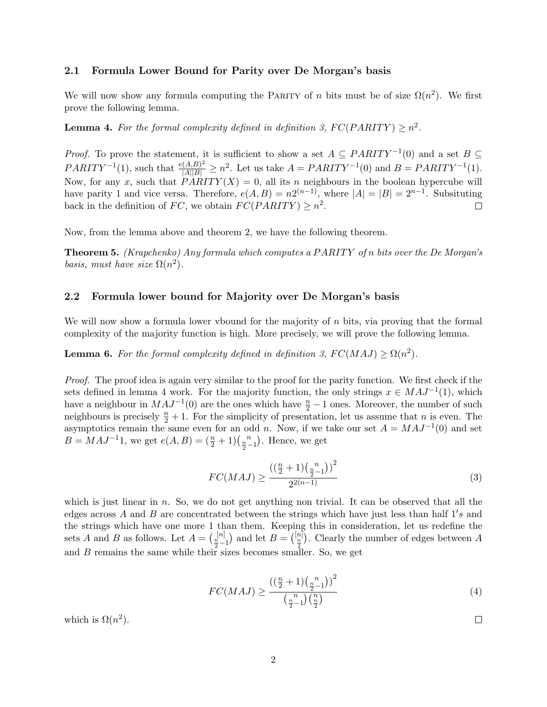#### 2.1 Formula Lower Bound for Parity over De Morgan's basis

We will now show any formula computing the PARITY of n bits must be of size  $\Omega(n^2)$ . We first prove the following lemma.

**Lemma 4.** For the formal complexity defined in definition 3,  $FC(PARITY) \geq n^2$ .

*Proof.* To prove the statement, it is sufficient to show a set  $A \subseteq PARTTY^{-1}(0)$  and a set  $B \subseteq$  $PARITY^{-1}(1)$ , such that  $\frac{e(A,B)^2}{|A||B|} \geq n^2$ . Let us take  $A = PARITY^{-1}(0)$  and  $B = PARITY^{-1}(1)$ . Now, for any x, such that  $\widehat{PARITY}(X) = 0$ , all its n neighbours in the boolean hypercube will have parity 1 and vice versa. Therefore,  $e(A, B) = n2^{(n-1)}$ , where  $|A| = |B| = 2^{n-1}$ . Subsituting back in the definition of FC, we obtain  $FC(PARITY) \geq n^2$ .  $\Box$ 

Now, from the lemma above and theorem 2, we have the following theorem.

**Theorem 5.** (Krapchenko) Any formula which computes a PARITY of n bits over the De Morgan's basis, must have size  $\Omega(n^2)$ .

#### 2.2 Formula lower bound for Majority over De Morgan's basis

We will now show a formula lower vbound for the majority of  $n$  bits, via proving that the formal complexity of the majority function is high. More precisely, we will prove the following lemma.

**Lemma 6.** For the formal complexity defined in definition 3,  $FC(MAJ) \ge \Omega(n^2)$ .

Proof. The proof idea is again very similar to the proof for the parity function. We first check if the sets defined in lemma 4 work. For the majority function, the only strings  $x \in MAJ^{-1}(1)$ , which have a neighbour in  $MAJ^{-1}(0)$  are the ones which have  $\frac{n}{2} - 1$  ones. Moreover, the number of such neighbours is precisely  $\frac{n}{2} + 1$ . For the simplicity of presentation, let us assume that *n* is even. The asymptotics remain the same even for an odd n. Now, if we take our set  $A = MAJ^{-1}(0)$  and set  $B = MAJ^{-1}1$ , we get  $e(A, B) = \left(\frac{n}{2} + 1\right)\left(\frac{n}{2 - 1}\right)$ . Hence, we get

$$
FC(MAJ) \ge \frac{\left(\left(\frac{n}{2} + 1\right)\left(\frac{n}{2} - 1\right)\right)^2}{2^{2(n-1)}}\tag{3}
$$

which is just linear in  $n$ . So, we do not get anything non trivial. It can be observed that all the edges across A and B are concentrated between the strings which have just less than half  $1's$  and the strings which have one more 1 than them. Keeping this in consideration, let us redefine the sets A and B as follows. Let  $A = \binom{[n]}{\frac{n}{2}-1}$  and let  $B = \binom{[n]}{\frac{n}{2}}$ . Clearly the number of edges between A and  $B$  remains the same while their sizes becomes smaller. So, we get

$$
FC(MAJ) \ge \frac{\left(\left(\frac{n}{2} + 1\right)\left(\frac{n}{2} - 1\right)\right)^2}{\left(\frac{n}{2} - 1\right)\left(\frac{n}{2}\right)}\tag{4}
$$

 $\Box$ 

which is  $\Omega(n^2)$ .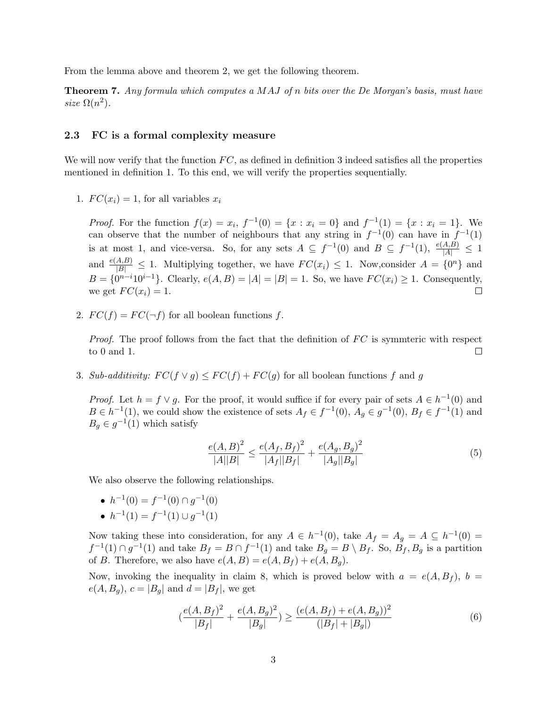From the lemma above and theorem 2, we get the following theorem.

**Theorem 7.** Any formula which computes a MAJ of n bits over the De Morgan's basis, must have size  $\Omega(n^2)$ .

#### 2.3 FC is a formal complexity measure

We will now verify that the function  $FC$ , as defined in definition 3 indeed satisfies all the properties mentioned in definition 1. To this end, we will verify the properties sequentially.

1.  $FC(x_i) = 1$ , for all variables  $x_i$ 

*Proof.* For the function  $f(x) = x_i$ ,  $f^{-1}(0) = \{x : x_i = 0\}$  and  $f^{-1}(1) = \{x : x_i = 1\}$ . We can observe that the number of neighbours that any string in  $f^{-1}(0)$  can have in  $f^{-1}(1)$ is at most 1, and vice-versa. So, for any sets  $A \subseteq f^{-1}(0)$  and  $B \subseteq f^{-1}(1)$ ,  $\frac{e(A,B)}{|A|} \le 1$ and  $\frac{e(A,B)}{|B|} \leq 1$ . Multiplying together, we have  $FC(x_i) \leq 1$ . Now, consider  $A = \{0^n\}$  and  $B = \{0^{n-i}10^{i-1}\}.$  Clearly,  $e(A, B) = |A| = |B| = 1$ . So, we have  $FC(x_i) \geq 1$ . Consequently, we get  $FC(x_i) = 1$ .  $\Box$ 

2.  $FC(f) = FC(\neg f)$  for all boolean functions f.

*Proof.* The proof follows from the fact that the definition of  $FC$  is symmteric with respect to 0 and 1.  $\Box$ 

3. Sub-additivity:  $FC(f \vee g) \leq FC(f) + FC(g)$  for all boolean functions f and g

*Proof.* Let  $h = f \vee g$ . For the proof, it would suffice if for every pair of sets  $A \in h^{-1}(0)$  and  $B \in h^{-1}(1)$ , we could show the existence of sets  $A_f \in f^{-1}(0)$ ,  $A_g \in g^{-1}(0)$ ,  $B_f \in f^{-1}(1)$  and  $B_g \in g^{-1}(1)$  which satisfy

$$
\frac{e(A,B)^2}{|A||B|} \le \frac{e(A_f,B_f)^2}{|A_f||B_f|} + \frac{e(A_g,B_g)^2}{|A_g||B_g|} \tag{5}
$$

We also observe the following relationships.

- $h^{-1}(0) = f^{-1}(0) \cap g^{-1}(0)$
- $h^{-1}(1) = f^{-1}(1) \cup g^{-1}(1)$

Now taking these into consideration, for any  $A \in h^{-1}(0)$ , take  $A_f = A_g = A \subseteq h^{-1}(0) =$  $f^{-1}(1) \cap g^{-1}(1)$  and take  $B_f = B \cap f^{-1}(1)$  and take  $B_g = B \setminus B_f$ . So,  $B_f, B_g$  is a partition of B. Therefore, we also have  $e(A, B) = e(A, B_f) + e(A, B_g)$ .

Now, invoking the inequality in claim 8, which is proved below with  $a = e(A, B_f)$ ,  $b =$  $e(A, B_q), c = |B_q|$  and  $d = |B_f|$ , we get

$$
\left(\frac{e(A, B_f)^2}{|B_f|} + \frac{e(A, B_g)^2}{|B_g|}\right) \ge \frac{(e(A, B_f) + e(A, B_g))^2}{(|B_f| + |B_g|)}
$$
(6)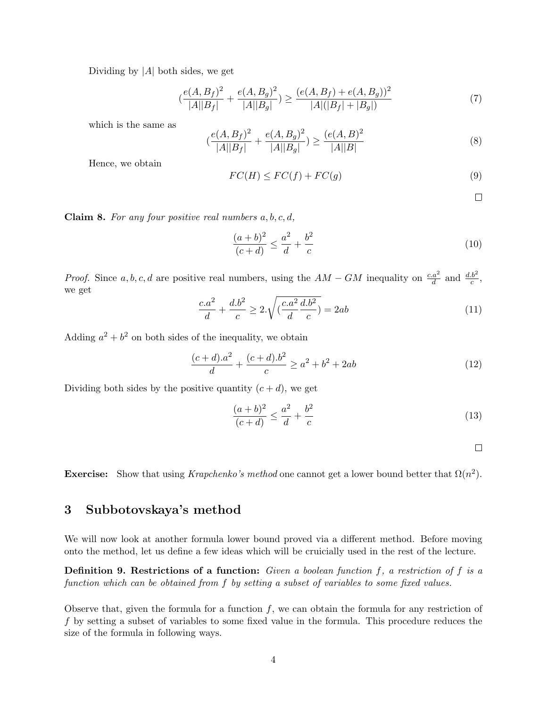Dividing by  $|A|$  both sides, we get

$$
\left(\frac{e(A, B_f)^2}{|A||B_f|} + \frac{e(A, B_g)^2}{|A||B_g|}\right) \ge \frac{(e(A, B_f) + e(A, B_g))^2}{|A|(|B_f| + |B_g|)}
$$
(7)

which is the same as

$$
\left(\frac{e(A,B_f)^2}{|A||B_f|} + \frac{e(A,B_g)^2}{|A||B_g|}\right) \ge \frac{(e(A,B)^2}{|A||B|}\tag{8}
$$

Hence, we obtain

$$
FC(H) \le FC(f) + FC(g)
$$
\n(9)

 $\Box$ 

**Claim 8.** For any four positive real numbers  $a, b, c, d$ ,

$$
\frac{(a+b)^2}{(c+d)} \le \frac{a^2}{d} + \frac{b^2}{c}
$$
 (10)

*Proof.* Since a, b, c, d are positive real numbers, using the  $AM - GM$  inequality on  $\frac{c.a^2}{d}$  and  $\frac{d.b^2}{c}$ , we get

$$
\frac{c.a^2}{d} + \frac{d.b^2}{c} \ge 2.\sqrt{\left(\frac{c.a^2}{d}\frac{d.b^2}{c}\right)} = 2ab\tag{11}
$$

Adding  $a^2 + b^2$  on both sides of the inequality, we obtain

$$
\frac{(c+d).a^2}{d} + \frac{(c+d).b^2}{c} \ge a^2 + b^2 + 2ab
$$
 (12)

Dividing both sides by the positive quantity  $(c+d)$ , we get

$$
\frac{(a+b)^2}{(c+d)} \le \frac{a^2}{d} + \frac{b^2}{c}
$$
 (13)

 $\Box$ 

Exercise: Show that using Krapchenko's method one cannot get a lower bound better that  $\Omega(n^2)$ .

### 3 Subbotovskaya's method

We will now look at another formula lower bound proved via a different method. Before moving onto the method, let us define a few ideas which will be cruicially used in the rest of the lecture.

**Definition 9. Restrictions of a function:** Given a boolean function f, a restriction of f is a function which can be obtained from f by setting a subset of variables to some fixed values.

Observe that, given the formula for a function  $f$ , we can obtain the formula for any restriction of f by setting a subset of variables to some fixed value in the formula. This procedure reduces the size of the formula in following ways.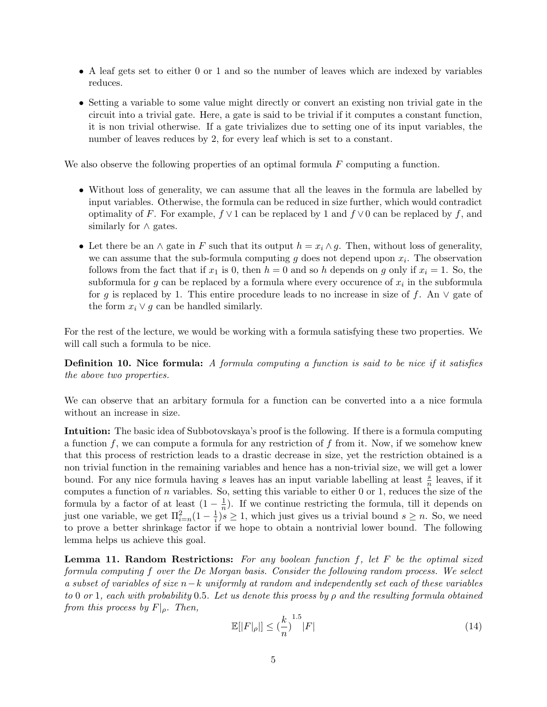- A leaf gets set to either 0 or 1 and so the number of leaves which are indexed by variables reduces.
- Setting a variable to some value might directly or convert an existing non trivial gate in the circuit into a trivial gate. Here, a gate is said to be trivial if it computes a constant function, it is non trivial otherwise. If a gate trivializes due to setting one of its input variables, the number of leaves reduces by 2, for every leaf which is set to a constant.

We also observe the following properties of an optimal formula  $F$  computing a function.

- Without loss of generality, we can assume that all the leaves in the formula are labelled by input variables. Otherwise, the formula can be reduced in size further, which would contradict optimality of F. For example,  $f \vee 1$  can be replaced by 1 and  $f \vee 0$  can be replaced by f, and similarly for  $\land$  gates.
- Let there be an  $\wedge$  gate in F such that its output  $h = x_i \wedge g$ . Then, without loss of generality, we can assume that the sub-formula computing  $g$  does not depend upon  $x_i$ . The observation follows from the fact that if  $x_1$  is 0, then  $h = 0$  and so h depends on g only if  $x_i = 1$ . So, the subformula for  $g$  can be replaced by a formula where every occurence of  $x_i$  in the subformula for g is replaced by 1. This entire procedure leads to no increase in size of f. An  $\vee$  gate of the form  $x_i \vee g$  can be handled similarly.

For the rest of the lecture, we would be working with a formula satisfying these two properties. We will call such a formula to be nice.

Definition 10. Nice formula: A formula computing a function is said to be nice if it satisfies the above two properties.

We can observe that an arbitary formula for a function can be converted into a a nice formula without an increase in size.

Intuition: The basic idea of Subbotovskaya's proof is the following. If there is a formula computing a function f, we can compute a formula for any restriction of f from it. Now, if we somehow knew that this process of restriction leads to a drastic decrease in size, yet the restriction obtained is a non trivial function in the remaining variables and hence has a non-trivial size, we will get a lower bound. For any nice formula having s leaves has an input variable labelling at least  $\frac{s}{n}$  leaves, if it computes a function of n variables. So, setting this variable to either 0 or 1, reduces the size of the formula by a factor of at least  $(1 - \frac{1}{n})$  $\frac{1}{n}$ ). If we continue restricting the formula, till it depends on just one variable, we get  $\Pi_{i=n}^2(1-\frac{1}{i})$  $\frac{1}{i}$ ) $s \geq 1$ , which just gives us a trivial bound  $s \geq n$ . So, we need to prove a better shrinkage factor if we hope to obtain a nontrivial lower bound. The following lemma helps us achieve this goal.

**Lemma 11. Random Restrictions:** For any boolean function  $f$ , let  $F$  be the optimal sized formula computing f over the De Morgan basis. Consider the following random process. We select a subset of variables of size  $n-k$  uniformly at random and independently set each of these variables to 0 or 1, each with probability 0.5. Let us denote this proess by  $\rho$  and the resulting formula obtained from this process by  $F|_{\rho}$ . Then,

$$
\mathbb{E}[|F|_{\rho}|] \le \left(\frac{k}{n}\right)^{1.5} |F| \tag{14}
$$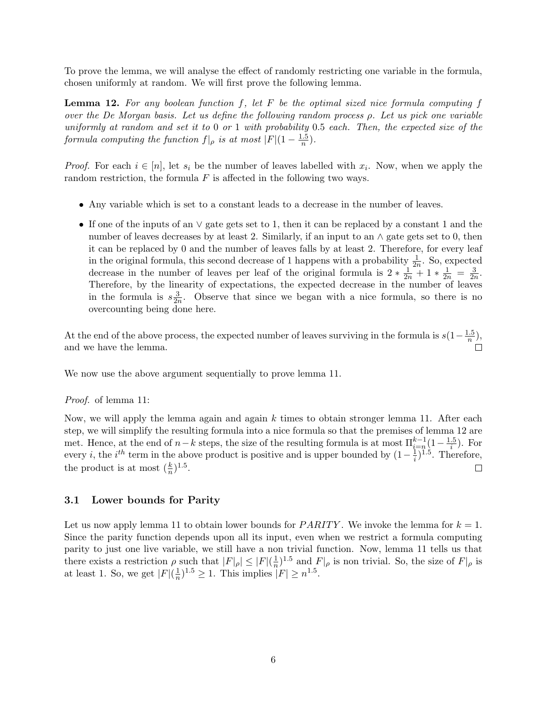To prove the lemma, we will analyse the effect of randomly restricting one variable in the formula, chosen uniformly at random. We will first prove the following lemma.

**Lemma 12.** For any boolean function f, let F be the optimal sized nice formula computing f over the De Morgan basis. Let us define the following random process ρ. Let us pick one variable uniformly at random and set it to 0 or 1 with probability 0.5 each. Then, the expected size of the formula computing the function  $f|_{\rho}$  is at most  $|F|(1-\frac{1.5}{n})$  $\frac{.5}{n}).$ 

*Proof.* For each  $i \in [n]$ , let  $s_i$  be the number of leaves labelled with  $x_i$ . Now, when we apply the random restriction, the formula  $F$  is affected in the following two ways.

- Any variable which is set to a constant leads to a decrease in the number of leaves.
- If one of the inputs of an ∨ gate gets set to 1, then it can be replaced by a constant 1 and the number of leaves decreases by at least 2. Similarly, if an input to an  $\land$  gate gets set to 0, then it can be replaced by 0 and the number of leaves falls by at least 2. Therefore, for every leaf in the original formula, this second decrease of 1 happens with a probability  $\frac{1}{2n}$ . So, expected decrease in the number of leaves per leaf of the original formula is  $2 * \frac{1}{2n} + 1 * \frac{1}{2n} = \frac{3}{2n}$  $\frac{3}{2n}$ . Therefore, by the linearity of expectations, the expected decrease in the number of leaves in the formula is  $s\frac{3}{2}$  $\frac{3}{2n}$ . Observe that since we began with a nice formula, so there is no overcounting being done here.

At the end of the above process, the expected number of leaves surviving in the formula is  $s(1-\frac{1.5}{n})$  $\frac{b}{n}$ ), and we have the lemma.

We now use the above argument sequentially to prove lemma 11.

#### Proof. of lemma 11:

Now, we will apply the lemma again and again  $k$  times to obtain stronger lemma 11. After each step, we will simplify the resulting formula into a nice formula so that the premises of lemma 12 are met. Hence, at the end of  $n-k$  steps, the size of the resulting formula is at most  $\prod_{i=n}^{k-1} (1 - \frac{1.5}{i})$  $\frac{.5}{i}$ ). For every *i*, the *i*<sup>th</sup> term in the above product is positive and is upper bounded by  $(1-\frac{1}{i})$  $(\frac{1}{i})^{1.5}$ . Therefore, the product is at most  $(\frac{k}{n})^{1.5}$ .  $\Box$ 

#### 3.1 Lower bounds for Parity

Let us now apply lemma 11 to obtain lower bounds for *PARITY*. We invoke the lemma for  $k = 1$ . Since the parity function depends upon all its input, even when we restrict a formula computing parity to just one live variable, we still have a non trivial function. Now, lemma 11 tells us that there exists a restriction  $\rho$  such that  $|F|_{\rho}| \leq |F|(\frac{1}{n})$  $\frac{1}{n}$ <sup>1.5</sup> and  $F|_{\rho}$  is non trivial. So, the size of  $F|_{\rho}$  is at least 1. So, we get  $|F|(\frac{1}{n})$  $(\frac{1}{n})^{1.5} \ge 1$ . This implies  $|F| \ge n^{1.5}$ .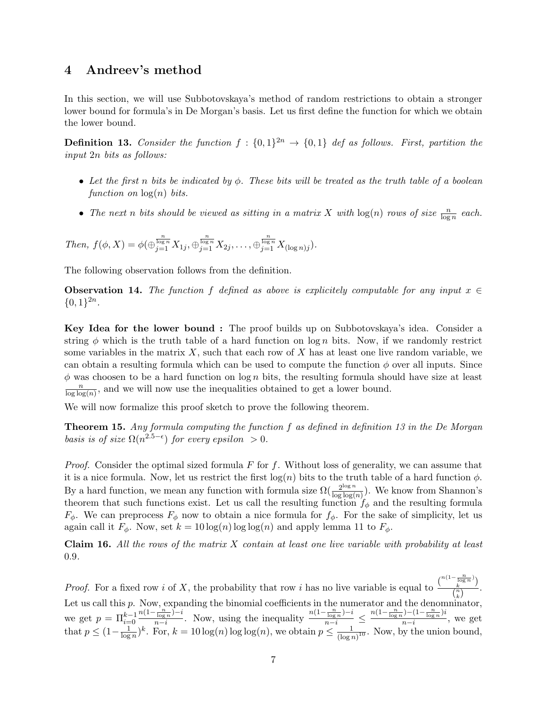### 4 Andreev's method

In this section, we will use Subbotovskaya's method of random restrictions to obtain a stronger lower bound for formula's in De Morgan's basis. Let us first define the function for which we obtain the lower bound.

**Definition 13.** Consider the function  $f : \{0,1\}^{2n} \rightarrow \{0,1\}$  def as follows. First, partition the input 2n bits as follows:

- Let the first n bits be indicated by  $\phi$ . These bits will be treated as the truth table of a boolean function on  $log(n)$  bits.
- The next n bits should be viewed as sitting in a matrix X with  $log(n)$  rows of size  $\frac{n}{log n}$  each.

Then, 
$$
f(\phi, X) = \phi(\bigoplus_{j=1}^{\frac{n}{\log n}} X_{1j}, \bigoplus_{j=1}^{\frac{n}{\log n}} X_{2j}, \dots, \bigoplus_{j=1}^{\frac{n}{\log n}} X_{(\log n)j}).
$$

The following observation follows from the definition.

Observation 14. The function f defined as above is explicitely computable for any input  $x \in$  $\{0,1\}^{2n}$ .

Key Idea for the lower bound : The proof builds up on Subbotovskaya's idea. Consider a string  $\phi$  which is the truth table of a hard function on log n bits. Now, if we randomly restrict some variables in the matrix  $X$ , such that each row of  $X$  has at least one live random variable, we can obtain a resulting formula which can be used to compute the function  $\phi$  over all inputs. Since  $\phi$  was choosen to be a hard function on log n bits, the resulting formula should have size at least n  $\frac{n}{\log \log(n)}$ , and we will now use the inequalities obtained to get a lower bound.

We will now formalize this proof sketch to prove the following theorem.

**Theorem 15.** Any formula computing the function  $f$  as defined in definition 13 in the De Morgan basis is of size  $\Omega(n^{2.5-\epsilon})$  for every epsilon > 0.

*Proof.* Consider the optimal sized formula  $F$  for  $f$ . Without loss of generality, we can assume that it is a nice formula. Now, let us restrict the first  $log(n)$  bits to the truth table of a hard function  $\phi$ . By a hard function, we mean any function with formula size  $\Omega(\frac{2^{\log n}}{\log \log n})$  $\frac{2^{\log n}}{\log \log(n)}$ ). We know from Shannon's theorem that such functions exist. Let us call the resulting function  $f_{\phi}$  and the resulting formula  $F_{\phi}$ . We can preprocess  $F_{\phi}$  now to obtain a nice formula for  $f_{\phi}$ . For the sake of simplicity, let us again call it  $F_{\phi}$ . Now, set  $k = 10 \log(n) \log \log(n)$  and apply lemma 11 to  $F_{\phi}$ .

**Claim 16.** All the rows of the matrix  $X$  contain at least one live variable with probability at least 0.9.

*Proof.* For a fixed row *i* of X, the probability that row *i* has no live variable is equal to  $\frac{\binom{n(1-\frac{n}{\log n})}{k}}{n}$  $\frac{\log n}{k}$ )  $\frac{k}{\binom{n}{k}}$ . Let us call this p. Now, expanding the binomial coefficients in the numerator and the denominator, we get  $p = \prod_{i=0}^{k-1}$  $n(1-\frac{n}{\log n})-i$  $\frac{\frac{n}{\log n} - i}{\frac{n}{\log n} - i}$ . Now, using the inequality  $\frac{n(1 - \frac{n}{\log n}) - i}{n - i} \le \frac{n(1 - \frac{n}{\log n}) - (1 - \frac{n}{\log n})i}{n - i}$  $\frac{n-i}{n-i}$ , we get that  $p \leq (1 - \frac{1}{\log n})$  $\frac{1}{\log n}$ , For,  $k = 10 \log(n) \log(n)$ , we obtain  $p \leq \frac{1}{(\log n)^k}$  $\frac{1}{(\log n)^{10}}$ . Now, by the union bound,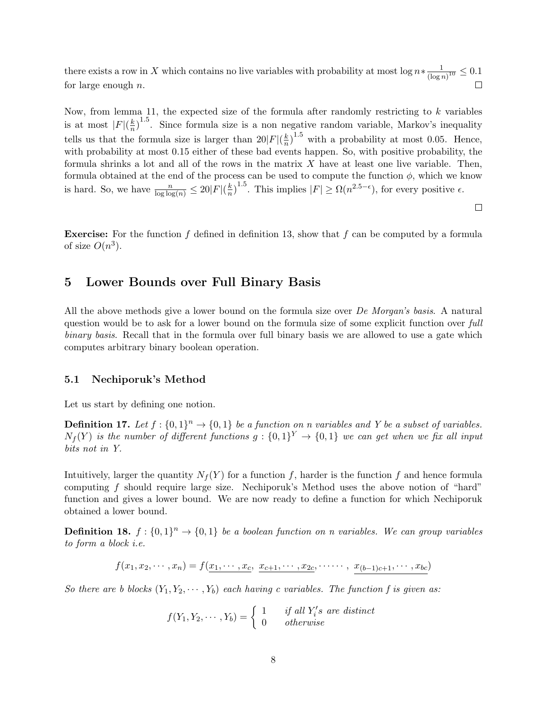there exists a row in X which contains no live variables with probability at most  $\log n * \frac{1}{\log n}$  $\frac{1}{(\log n)^{10}} \leq 0.1$ for large enough  $n$ .

Now, from lemma 11, the expected size of the formula after randomly restricting to  $k$  variables is at most  $|F|(\frac{k}{n})^{1.5}$ . Since formula size is a non negative random variable, Markov's inequality  $\overline{n}$ tells us that the formula size is larger than  $20|F|(\frac{k}{n})$  $\frac{k}{n}$ <sup>1.5</sup> with a probability at most 0.05. Hence, with probability at most 0.15 either of these bad events happen. So, with positive probability, the formula shrinks a lot and all of the rows in the matrix  $X$  have at least one live variable. Then, formula obtained at the end of the process can be used to compute the function  $\phi$ , which we know is hard. So, we have  $\frac{n}{\log \log(n)} \leq 20|F|(\frac{k}{n})$  $\frac{k}{n}$ , <sup>1.5</sup>. This implies  $|F| \ge \Omega(n^{2.5-\epsilon})$ , for every positive  $\epsilon$ .

 $\Box$ 

**Exercise:** For the function f defined in definition 13, show that f can be computed by a formula of size  $O(n^3)$ .

### 5 Lower Bounds over Full Binary Basis

All the above methods give a lower bound on the formula size over *De Morgan's basis*. A natural question would be to ask for a lower bound on the formula size of some explicit function over full binary basis. Recall that in the formula over full binary basis we are allowed to use a gate which computes arbitrary binary boolean operation.

#### 5.1 Nechiporuk's Method

Let us start by defining one notion.

**Definition 17.** Let  $f: \{0,1\}^n \to \{0,1\}$  be a function on n variables and Y be a subset of variables.  $N_f(Y)$  is the number of different functions  $g: \{0,1\}^Y \to \{0,1\}$  we can get when we fix all input bits not in Y.

Intuitively, larger the quantity  $N_f(Y)$  for a function f, harder is the function f and hence formula computing f should require large size. Nechiporuk's Method uses the above notion of "hard" function and gives a lower bound. We are now ready to define a function for which Nechiporuk obtained a lower bound.

**Definition 18.**  $f: \{0,1\}^n \to \{0,1\}$  be a boolean function on n variables. We can group variables to form a block i.e.

 $f(x_1, x_2, \dots, x_n) = f(\underbrace{x_1, \dots, x_c}, \underbrace{x_{c+1}, \dots, x_{2c}}, \dots \dots, \underbrace{x_{(b-1)c+1}, \dots, x_{bc}})$ 

So there are b blocks  $(Y_1, Y_2, \dots, Y_b)$  each having c variables. The function f is given as:

 $f(Y_1, Y_2, \dots, Y_b) = \begin{cases} 1 & \text{if all } Y_i's \text{ are distinct} \\ 0 & \text{otherwise} \end{cases}$ 0 otherwise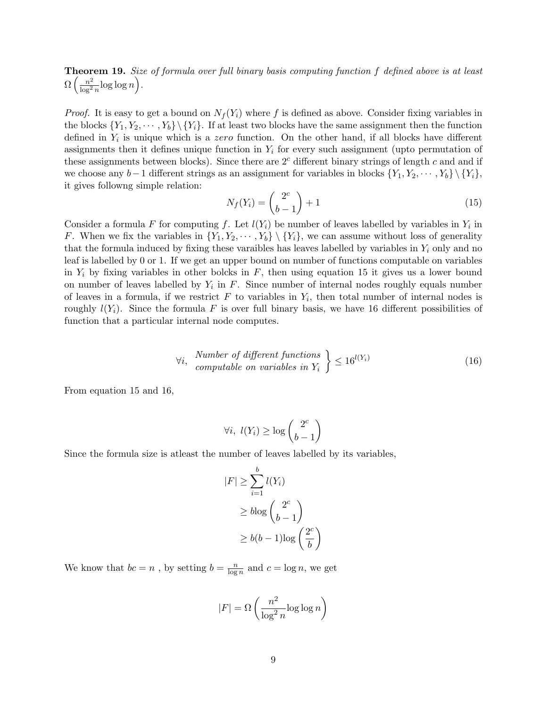**Theorem 19.** Size of formula over full binary basis computing function f defined above is at least  $\Omega\left(\frac{n^2}{\log^2}\right)$  $\frac{n^2}{\log^2 n} \log \log n$ .

*Proof.* It is easy to get a bound on  $N_f(Y_i)$  where f is defined as above. Consider fixing variables in the blocks  $\{Y_1, Y_2, \dots, Y_b\} \backslash \{Y_i\}$ . If at least two blocks have the same assignment then the function defined in  $Y_i$  is unique which is a zero function. On the other hand, if all blocks have different assignments then it defines unique function in  $Y_i$  for every such assignment (upto permutation of these assignments between blocks). Since there are  $2<sup>c</sup>$  different binary strings of length c and and if we choose any  $b-1$  different strings as an assignment for variables in blocks  $\{Y_1, Y_2, \cdots, Y_b\} \backslash \{Y_i\}$ , it gives followng simple relation:

$$
N_f(Y_i) = \binom{2^c}{b-1} + 1\tag{15}
$$

Consider a formula F for computing f. Let  $l(Y_i)$  be number of leaves labelled by variables in  $Y_i$  in F. When we fix the variables in  $\{Y_1, Y_2, \dots, Y_b\} \setminus \{Y_i\}$ , we can assume without loss of generality that the formula induced by fixing these varaibles has leaves labelled by variables in  $Y_i$  only and no leaf is labelled by 0 or 1. If we get an upper bound on number of functions computable on variables in  $Y_i$  by fixing variables in other bolcks in  $F$ , then using equation 15 it gives us a lower bound on number of leaves labelled by  $Y_i$  in F. Since number of internal nodes roughly equals number of leaves in a formula, if we restrict  $F$  to variables in  $Y_i$ , then total number of internal nodes is roughly  $l(Y_i)$ . Since the formula F is over full binary basis, we have 16 different possibilities of function that a particular internal node computes.

$$
\forall i, \quad \textit{Number of different functions} \\ computable on variables in \ Y_i \ \leq 16^{l(Y_i)} \tag{16}
$$

From equation 15 and 16,

$$
\forall i, \ l(Y_i) \ge \log \binom{2^c}{b-1}
$$

Since the formula size is atleast the number of leaves labelled by its variables,

$$
|F| \geq \sum_{i=1}^{b} l(Y_i)
$$
  
\n
$$
\geq b \log \binom{2^c}{b-1}
$$
  
\n
$$
\geq b(b-1) \log \left(\frac{2^c}{b}\right)
$$

We know that  $bc = n$ , by setting  $b = \frac{n}{\log n}$  $\frac{n}{\log n}$  and  $c = \log n$ , we get

$$
|F| = \Omega\left(\frac{n^2}{\log^2 n} \log \log n\right)
$$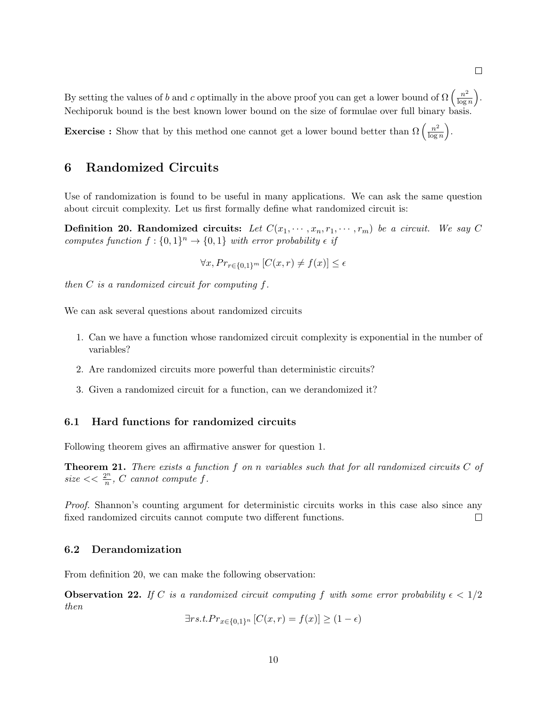By setting the values of b and c optimally in the above proof you can get a lower bound of  $\Omega\left(\frac{n^2}{\log n}\right)$  $\frac{n^2}{\log n}\bigg).$ Nechiporuk bound is the best known lower bound on the size of formulae over full binary basis.

**Exercise :** Show that by this method one cannot get a lower bound better than  $\Omega\left(\frac{n^2}{\log n}\right)$  $\frac{n^2}{\log n}\bigg).$ 

### 6 Randomized Circuits

Use of randomization is found to be useful in many applications. We can ask the same question about circuit complexity. Let us first formally define what randomized circuit is:

**Definition 20. Randomized circuits:** Let  $C(x_1, \dots, x_n, r_1, \dots, r_m)$  be a circuit. We say C computes function  $f: \{0,1\}^n \to \{0,1\}$  with error probability  $\epsilon$  if

$$
\forall x, Pr_{r \in \{0,1\}^m} [C(x,r) \neq f(x)] \le \epsilon
$$

then  $C$  is a randomized circuit for computing  $f$ .

We can ask several questions about randomized circuits

- 1. Can we have a function whose randomized circuit complexity is exponential in the number of variables?
- 2. Are randomized circuits more powerful than deterministic circuits?
- 3. Given a randomized circuit for a function, can we derandomized it?

#### 6.1 Hard functions for randomized circuits

Following theorem gives an affirmative answer for question 1.

**Theorem 21.** There exists a function  $f$  on  $n$  variables such that for all randomized circuits  $C$  of  $size << \frac{2^n}{n}$  $\frac{2^n}{n}$ , C cannot compute f.

Proof. Shannon's counting argument for deterministic circuits works in this case also since any fixed randomized circuits cannot compute two different functions.  $\Box$ 

#### 6.2 Derandomization

From definition 20, we can make the following observation:

**Observation 22.** If C is a randomized circuit computing f with some error probability  $\epsilon < 1/2$ then

$$
\exists rs.t. Pr_{x \in \{0,1\}^n} [C(x,r) = f(x)] \ge (1 - \epsilon)
$$

10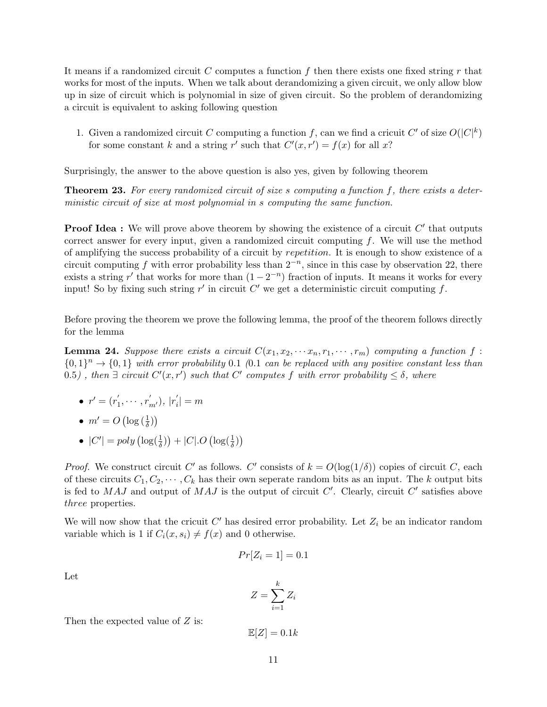It means if a randomized circuit C computes a function f then there exists one fixed string r that works for most of the inputs. When we talk about derandomizing a given circuit, we only allow blow up in size of circuit which is polynomial in size of given circuit. So the problem of derandomizing a circuit is equivalent to asking following question

1. Given a randomized circuit C computing a function f, can we find a cricuit C' of size  $O(|C|^k)$ for some constant k and a string r' such that  $C'(x, r') = f(x)$  for all x?

Surprisingly, the answer to the above question is also yes, given by following theorem

Theorem 23. For every randomized circuit of size s computing a function f, there exists a deterministic circuit of size at most polynomial in s computing the same function.

**Proof Idea :** We will prove above theorem by showing the existence of a circuit  $C'$  that outputs correct answer for every input, given a randomized circuit computing  $f$ . We will use the method of amplifying the success probability of a circuit by repetition. It is enough to show existence of a circuit computing f with error probability less than  $2^{-n}$ , since in this case by observation 22, there exists a string r' that works for more than  $(1 - 2^{-n})$  fraction of inputs. It means it works for every input! So by fixing such string r' in circuit  $C'$  we get a deterministic circuit computing f.

Before proving the theorem we prove the following lemma, the proof of the theorem follows directly for the lemma

**Lemma 24.** Suppose there exists a circuit  $C(x_1, x_2, \cdots, x_n, r_1, \cdots, r_m)$  computing a function f:  $\{0,1\}^n \rightarrow \{0,1\}$  with error probability 0.1 (0.1 can be replaced with any positive constant less than 0.5), then  $\exists$  circuit  $C'(x,r')$  such that  $C'$  computes f with error probability  $\leq \delta$ , where

- $\bullet\hspace{0.1cm} r'=(r_{1}^{'}% \rightarrow r_{1}^{'}\hspace{0.1cm} r_{2}^{'}\hspace{0.1cm}r_{1}^{'}\hspace{0.1cm}r_{2}^{'}\hspace{0.1cm}r_{1}^{'}\hspace{0.1cm}r_{2}^{'}\hspace{0.1cm}r_{1}^{'}\hspace{0.1cm}r_{2}^{'}\hspace{0.1cm}r_{1}^{'}\hspace{0.1cm}r_{1}^{'}\hspace{0.1cm}r_{1}^{'}\hspace{0.1cm}r_{1}^{'}\hspace{0.1cm}r_{1}^{'}\hspace{0.1cm}r_{$  $r'_{1}, \cdots, r'_{m'}), |r'_{i}$  $|i|=m$
- $m' = O\left(\log\left(\frac{1}{\delta}\right)\right)$
- $|C'| = poly \left( \log(\frac{1}{\delta}) \right) + |C|.O \left( \log(\frac{1}{\delta}) \right)$

*Proof.* We construct circuit C' as follows. C' consists of  $k = O(\log(1/\delta))$  copies of circuit C, each of these circuits  $C_1, C_2, \cdots, C_k$  has their own seperate random bits as an input. The k output bits is fed to  $MAJ$  and output of  $MAJ$  is the output of circuit  $C'$ . Clearly, circuit  $C'$  satisfies above three properties.

We will now show that the cricuit  $C'$  has desired error probability. Let  $Z_i$  be an indicator random variable which is 1 if  $C_i(x, s_i) \neq f(x)$  and 0 otherwise.

$$
Pr[Z_i = 1] = 0.1
$$

Let

$$
Z = \sum_{i=1}^{k} Z_i
$$

Then the expected value of  $Z$  is:

$$
\mathbb{E}[Z] = 0.1k
$$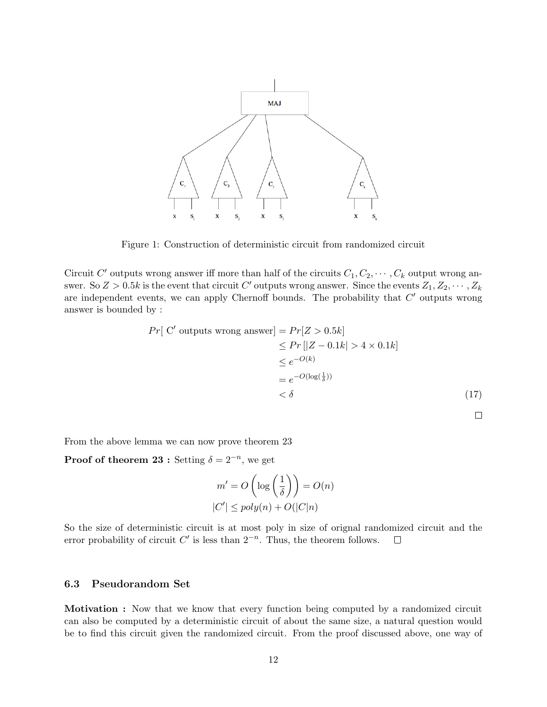

Figure 1: Construction of deterministic circuit from randomized circuit

Circuit C' outputs wrong answer iff more than half of the circuits  $C_1, C_2, \cdots, C_k$  output wrong answer. So  $Z > 0.5k$  is the event that circuit  $C'$  outputs wrong answer. Since the events  $Z_1, Z_2, \cdots, Z_k$ are independent events, we can apply Chernoff bounds. The probability that  $C'$  outputs wrong answer is bounded by :

$$
Pr[ C' \text{ outputs wrong answer}] = Pr[Z > 0.5k]
$$
  
\n
$$
\leq Pr[|Z - 0.1k| > 4 \times 0.1k]
$$
  
\n
$$
\leq e^{-O(k)}
$$
  
\n
$$
= e^{-O(\log(\frac{1}{\delta}))}
$$
  
\n
$$
< \delta
$$
\n(17)

 $\Box$ 

From the above lemma we can now prove theorem 23

**Proof of theorem 23 :** Setting  $\delta = 2^{-n}$ , we get

$$
m' = O\left(\log\left(\frac{1}{\delta}\right)\right) = O(n)
$$
  

$$
|C'| \leq poly(n) + O(|C|n)
$$

So the size of deterministic circuit is at most poly in size of orignal randomized circuit and the error probability of circuit  $C'$  is less than  $2^{-n}$ . Thus, the theorem follows.  $\Box$ 

#### 6.3 Pseudorandom Set

Motivation : Now that we know that every function being computed by a randomized circuit can also be computed by a deterministic circuit of about the same size, a natural question would be to find this circuit given the randomized circuit. From the proof discussed above, one way of